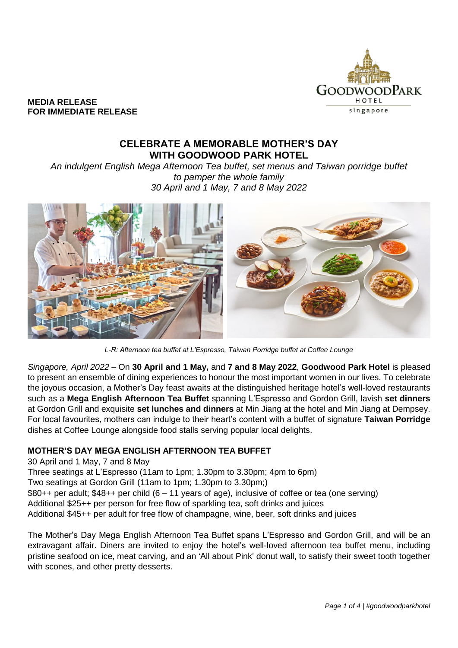

### **MEDIA RELEASE FOR IMMEDIATE RELEASE**

## **CELEBRATE A MEMORABLE MOTHER'S DAY WITH GOODWOOD PARK HOTEL**

*An indulgent English Mega Afternoon Tea buffet, set menus and Taiwan porridge buffet to pamper the whole family 30 April and 1 May, 7 and 8 May 2022* 



*L-R: Afternoon tea buffet at L'Espresso, Taiwan Porridge buffet at Coffee Lounge*

*Singapore, April 2022* – On **30 April and 1 May,** and **7 and 8 May 2022**, **Goodwood Park Hotel** is pleased to present an ensemble of dining experiences to honour the most important women in our lives. To celebrate the joyous occasion, a Mother's Day feast awaits at the distinguished heritage hotel's well-loved restaurants such as a **Mega English Afternoon Tea Buffet** spanning L'Espresso and Gordon Grill, lavish **set dinners**  at Gordon Grill and exquisite **set lunches and dinners** at Min Jiang at the hotel and Min Jiang at Dempsey. For local favourites, mothers can indulge to their heart's content with a buffet of signature **Taiwan Porridge**  dishes at Coffee Lounge alongside food stalls serving popular local delights.

### **MOTHER'S DAY MEGA ENGLISH AFTERNOON TEA BUFFET**

30 April and 1 May, 7 and 8 May Three seatings at L'Espresso (11am to 1pm; 1.30pm to 3.30pm; 4pm to 6pm) Two seatings at Gordon Grill (11am to 1pm; 1.30pm to 3.30pm;) \$80++ per adult; \$48++ per child (6 – 11 years of age), inclusive of coffee or tea (one serving) Additional \$25++ per person for free flow of sparkling tea, soft drinks and juices Additional \$45++ per adult for free flow of champagne, wine, beer, soft drinks and juices

The Mother's Day Mega English Afternoon Tea Buffet spans L'Espresso and Gordon Grill, and will be an extravagant affair. Diners are invited to enjoy the hotel's well-loved afternoon tea buffet menu, including pristine seafood on ice, meat carving, and an 'All about Pink' donut wall, to satisfy their sweet tooth together with scones, and other pretty desserts.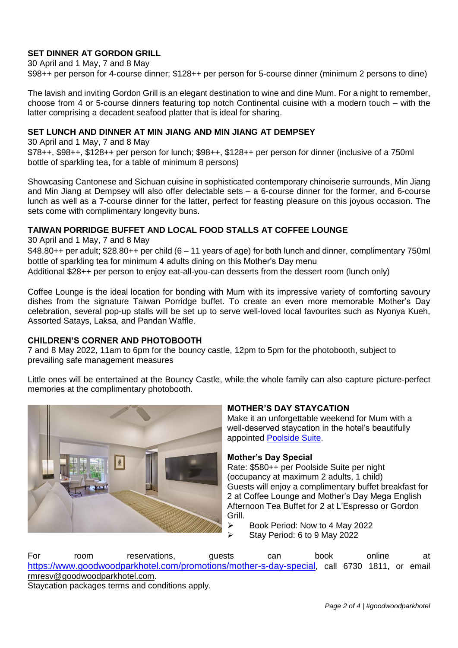## **SET DINNER AT GORDON GRILL**

30 April and 1 May, 7 and 8 May \$98++ per person for 4-course dinner; \$128++ per person for 5-course dinner (minimum 2 persons to dine)

The lavish and inviting Gordon Grill is an elegant destination to wine and dine Mum. For a night to remember, choose from 4 or 5-course dinners featuring top notch Continental cuisine with a modern touch – with the latter comprising a decadent seafood platter that is ideal for sharing.

# **SET LUNCH AND DINNER AT MIN JIANG AND MIN JIANG AT DEMPSEY**

30 April and 1 May, 7 and 8 May \$78++, \$98++, \$128++ per person for lunch; \$98++, \$128++ per person for dinner (inclusive of a 750ml bottle of sparkling tea, for a table of minimum 8 persons)

Showcasing Cantonese and Sichuan cuisine in sophisticated contemporary chinoiserie surrounds, Min Jiang and Min Jiang at Dempsey will also offer delectable sets – a 6-course dinner for the former, and 6-course lunch as well as a 7-course dinner for the latter, perfect for feasting pleasure on this joyous occasion. The sets come with complimentary longevity buns.

# **TAIWAN PORRIDGE BUFFET AND LOCAL FOOD STALLS AT COFFEE LOUNGE**

30 April and 1 May, 7 and 8 May

\$48.80++ per adult; \$28.80++ per child (6 – 11 years of age) for both lunch and dinner, complimentary 750ml bottle of sparkling tea for minimum 4 adults dining on this Mother's Day menu Additional \$28++ per person to enjoy eat-all-you-can desserts from the dessert room (lunch only)

Coffee Lounge is the ideal location for bonding with Mum with its impressive variety of comforting savoury dishes from the signature Taiwan Porridge buffet. To create an even more memorable Mother's Day celebration, several pop-up stalls will be set up to serve well-loved local favourites such as Nyonya Kueh, Assorted Satays, Laksa, and Pandan Waffle.

# **CHILDREN'S CORNER AND PHOTOBOOTH**

7 and 8 May 2022, 11am to 6pm for the bouncy castle, 12pm to 5pm for the photobooth, subject to prevailing safe management measures

Little ones will be entertained at the Bouncy Castle, while the whole family can also capture picture-perfect memories at the complimentary photobooth.



## **MOTHER'S DAY STAYCATION**

Make it an unforgettable weekend for Mum with a well-deserved staycation in the hotel's beautifully appointed [Poolside Suite.](https://www.goodwoodparkhotel.com/accommodation/poolside-suite)

## **Mother's Day Special**

Rate: \$580++ per Poolside Suite per night (occupancy at maximum 2 adults, 1 child) Guests will enjoy a complimentary buffet breakfast for 2 at Coffee Lounge and Mother's Day Mega English Afternoon Tea Buffet for 2 at L'Espresso or Gordon Grill.

➢ Book Period: Now to 4 May 2022

Stay Period: 6 to 9 May 2022

For room reservations, guests can book online at <https://www.goodwoodparkhotel.com/promotions/mother-s-day-special>, call 6730 1811, or email [rmresv@goodwoodparkhotel.com.](mailto:rmresv@goodwoodparkhotel.com)

Staycation packages terms and conditions apply.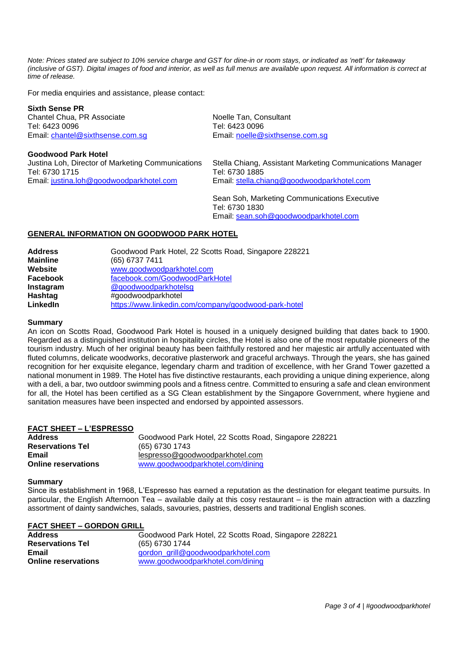*Note: Prices stated are subject to 10% service charge and GST for dine-in or room stays, or indicated as 'nett' for takeaway (inclusive of GST). Digital images of food and interior, as well as full menus are available upon request. All information is correct at time of release.* 

For media enquiries and assistance, please contact:

**Sixth Sense PR** Chantel Chua, PR Associate Tel: 6423 0096 Email: [chantel@sixthsense.com.sg](mailto:chantel@sixthsense.com.sg)

**Goodwood Park Hotel**

Justina Loh, Director of Marketing Communications Tel: 6730 1715 Email: [justina.loh@goodwoodparkhotel.com](mailto:justina.loh@goodwoodparkhotel.com)

Noelle Tan, Consultant Tel: 6423 0096 Email: [noelle@sixthsense.com.sg](mailto:noelle@sixthsense.com.sg)

Stella Chiang, Assistant Marketing Communications Manager Tel: 6730 1885 Email: [stella.chiang@goodwoodparkhotel.com](mailto:stella.chiang@goodwoodparkhotel.com)

Sean Soh, Marketing Communications Executive Tel: 6730 1830 Email: [sean.soh@goodwoodparkhotel.com](mailto:sean.soh@goodwoodparkhotel.com)

### **GENERAL INFORMATION ON GOODWOOD PARK HOTEL**

| <b>Address</b>  | Goodwood Park Hotel, 22 Scotts Road, Singapore 228221 |
|-----------------|-------------------------------------------------------|
| <b>Mainline</b> | (65) 6737 7411                                        |
| Website         | www.goodwoodparkhotel.com                             |
| <b>Facebook</b> | facebook.com/GoodwoodParkHotel                        |
| Instagram       | @goodwoodparkhotelsg                                  |
| Hashtag         | #goodwoodparkhotel                                    |
| LinkedIn        | https://www.linkedin.com/company/goodwood-park-hotel  |

#### **Summary**

An icon on Scotts Road, Goodwood Park Hotel is housed in a uniquely designed building that dates back to 1900. Regarded as a distinguished institution in hospitality circles, the Hotel is also one of the most reputable pioneers of the tourism industry. Much of her original beauty has been faithfully restored and her majestic air artfully accentuated with fluted columns, delicate woodworks, decorative plasterwork and graceful archways. Through the years, she has gained recognition for her exquisite elegance, legendary charm and tradition of excellence, with her Grand Tower gazetted a national monument in 1989. The Hotel has five distinctive restaurants, each providing a unique dining experience, along with a deli, a bar, two outdoor swimming pools and a fitness centre. Committed to ensuring a safe and clean environment for all, the Hotel has been certified as a SG Clean establishment by the Singapore Government, where hygiene and sanitation measures have been inspected and endorsed by appointed assessors.

#### **FACT SHEET – L'ESPRESSO**

| <b>Address</b>             | Goodwood Park Hotel, 22 Scotts Road, Singapore 228221 |
|----------------------------|-------------------------------------------------------|
| <b>Reservations Tel</b>    | (65) 6730 1743                                        |
| Email                      | lespresso@goodwoodparkhotel.com                       |
| <b>Online reservations</b> | www.goodwoodparkhotel.com/dining                      |

#### **Summary**

Since its establishment in 1968, L'Espresso has earned a reputation as the destination for elegant teatime pursuits. In particular, the English Afternoon Tea – available daily at this cosy restaurant – is the main attraction with a dazzling assortment of dainty sandwiches, salads, savouries, pastries, desserts and traditional English scones.

### **FACT SHEET – GORDON GRILL**

| <b>Address</b>             | Goodwood Park Hotel, 22 Scotts Road, Singapore 228221 |
|----------------------------|-------------------------------------------------------|
| <b>Reservations Tel</b>    | (65) 6730 1744                                        |
| Email                      | gordon grill@goodwoodparkhotel.com                    |
| <b>Online reservations</b> | www.goodwoodparkhotel.com/dining                      |